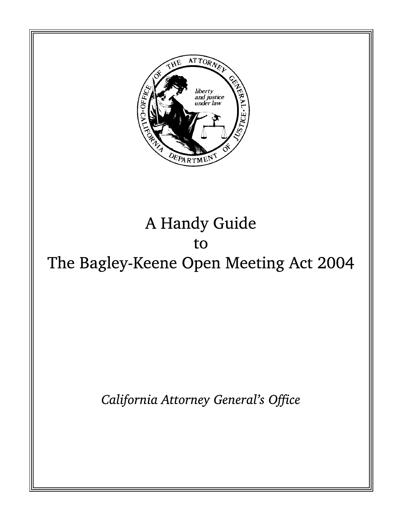

# A Handy Guide to The Bagley-Keene Open Meeting Act 2004

*California Attorney General's Office*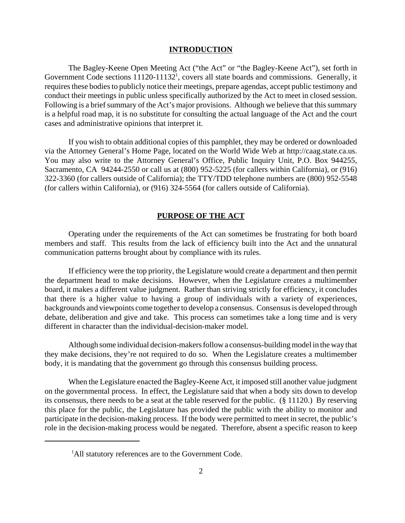## **INTRODUCTION**

The Bagley-Keene Open Meeting Act ("the Act" or "the Bagley-Keene Act"), set forth in Government Code sections  $11120-11132<sup>1</sup>$ , covers all state boards and commissions. Generally, it requires these bodies to publicly notice their meetings, prepare agendas, accept public testimony and conduct their meetings in public unless specifically authorized by the Act to meet in closed session. Following is a brief summary of the Act's major provisions. Although we believe that this summary is a helpful road map, it is no substitute for consulting the actual language of the Act and the court cases and administrative opinions that interpret it.

If you wish to obtain additional copies of this pamphlet, they may be ordered or downloaded via the Attorney General's Home Page, located on the World Wide Web at http://caag.state.ca.us. You may also write to the Attorney General's Office, Public Inquiry Unit, P.O. Box 944255, Sacramento, CA 94244-2550 or call us at (800) 952-5225 (for callers within California), or (916) 322-3360 (for callers outside of California); the TTY/TDD telephone numbers are (800) 952-5548 (for callers within California), or (916) 324-5564 (for callers outside of California).

# **PURPOSE OF THE ACT**

Operating under the requirements of the Act can sometimes be frustrating for both board members and staff. This results from the lack of efficiency built into the Act and the unnatural communication patterns brought about by compliance with its rules.

If efficiency were the top priority, the Legislature would create a department and then permit the department head to make decisions. However, when the Legislature creates a multimember board, it makes a different value judgment. Rather than striving strictly for efficiency, it concludes that there is a higher value to having a group of individuals with a variety of experiences, backgrounds and viewpoints come together to develop a consensus. Consensus is developed through debate, deliberation and give and take. This process can sometimes take a long time and is very different in character than the individual-decision-maker model.

Although some individual decision-makers follow a consensus-building model in the way that they make decisions, they're not required to do so. When the Legislature creates a multimember body, it is mandating that the government go through this consensus building process.

When the Legislature enacted the Bagley-Keene Act, it imposed still another value judgment on the governmental process. In effect, the Legislature said that when a body sits down to develop its consensus, there needs to be a seat at the table reserved for the public. (§ 11120.) By reserving this place for the public, the Legislature has provided the public with the ability to monitor and participate in the decision-making process. If the body were permitted to meet in secret, the public's role in the decision-making process would be negated. Therefore, absent a specific reason to keep

<sup>&</sup>lt;sup>1</sup>All statutory references are to the Government Code.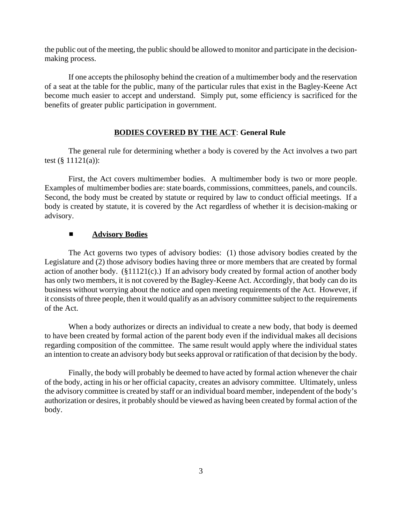the public out of the meeting, the public should be allowed to monitor and participate in the decisionmaking process.

If one accepts the philosophy behind the creation of a multimember body and the reservation of a seat at the table for the public, many of the particular rules that exist in the Bagley-Keene Act become much easier to accept and understand. Simply put, some efficiency is sacrificed for the benefits of greater public participation in government.

# **BODIES COVERED BY THE ACT**: **General Rule**

The general rule for determining whether a body is covered by the Act involves a two part test  $(\S 11121(a))$ :

First, the Act covers multimember bodies. A multimember body is two or more people. Examples of multimember bodies are: state boards, commissions, committees, panels, and councils. Second, the body must be created by statute or required by law to conduct official meetings. If a body is created by statute, it is covered by the Act regardless of whether it is decision-making or advisory.

# $\blacksquare$  **Advisory Bodies**

The Act governs two types of advisory bodies: (1) those advisory bodies created by the Legislature and (2) those advisory bodies having three or more members that are created by formal action of another body. (§11121(c).) If an advisory body created by formal action of another body has only two members, it is not covered by the Bagley-Keene Act. Accordingly, that body can do its business without worrying about the notice and open meeting requirements of the Act. However, if it consists of three people, then it would qualify as an advisory committee subject to the requirements of the Act.

When a body authorizes or directs an individual to create a new body, that body is deemed to have been created by formal action of the parent body even if the individual makes all decisions regarding composition of the committee. The same result would apply where the individual states an intention to create an advisory body but seeks approval or ratification of that decision by the body.

Finally, the body will probably be deemed to have acted by formal action whenever the chair of the body, acting in his or her official capacity, creates an advisory committee. Ultimately, unless the advisory committee is created by staff or an individual board member, independent of the body's authorization or desires, it probably should be viewed as having been created by formal action of the body.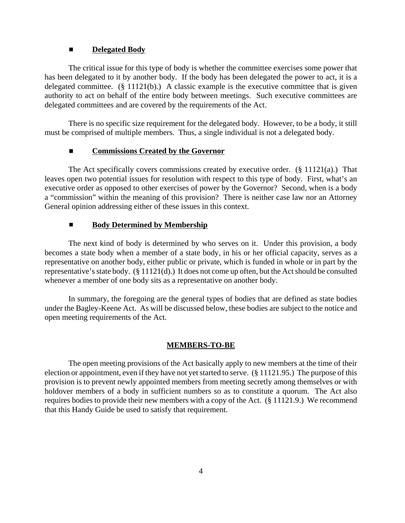# **E Delegated Body**

The critical issue for this type of body is whether the committee exercises some power that has been delegated to it by another body. If the body has been delegated the power to act, it is a delegated committee.  $(\S 11121(b))$ . A classic example is the executive committee that is given authority to act on behalf of the entire body between meetings. Such executive committees are delegated committees and are covered by the requirements of the Act.

There is no specific size requirement for the delegated body. However, to be a body, it still must be comprised of multiple members. Thus, a single individual is not a delegated body.

# ■ **Commissions Created by the Governor**

The Act specifically covers commissions created by executive order. (§ 11121(a).) That leaves open two potential issues for resolution with respect to this type of body. First, what's an executive order as opposed to other exercises of power by the Governor? Second, when is a body a "commission" within the meaning of this provision? There is neither case law nor an Attorney General opinion addressing either of these issues in this context.

# **Body Determined by Membership**

The next kind of body is determined by who serves on it. Under this provision, a body becomes a state body when a member of a state body, in his or her official capacity, serves as a representative on another body, either public or private, which is funded in whole or in part by the representative's state body. (§ 11121(d).) It does not come up often, but the Act should be consulted whenever a member of one body sits as a representative on another body.

In summary, the foregoing are the general types of bodies that are defined as state bodies under the Bagley-Keene Act. As will be discussed below, these bodies are subject to the notice and open meeting requirements of the Act.

#### **MEMBERS-TO-BE**

The open meeting provisions of the Act basically apply to new members at the time of their election or appointment, even if they have not yet started to serve. (§ 11121.95.) The purpose of this provision is to prevent newly appointed members from meeting secretly among themselves or with holdover members of a body in sufficient numbers so as to constitute a quorum. The Act also requires bodies to provide their new members with a copy of the Act. (§ 11121.9.) We recommend that this Handy Guide be used to satisfy that requirement.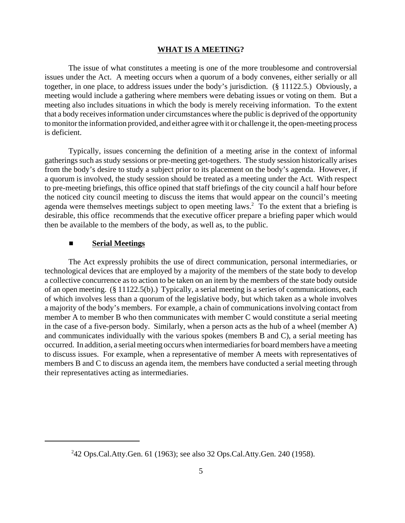#### **WHAT IS A MEETING?**

The issue of what constitutes a meeting is one of the more troublesome and controversial issues under the Act. A meeting occurs when a quorum of a body convenes, either serially or all together, in one place, to address issues under the body's jurisdiction. (§ 11122.5.) Obviously, a meeting would include a gathering where members were debating issues or voting on them. But a meeting also includes situations in which the body is merely receiving information. To the extent that a body receives information under circumstances where the public is deprived of the opportunity to monitor the information provided, and either agree with it or challenge it, the open-meeting process is deficient.

Typically, issues concerning the definition of a meeting arise in the context of informal gatherings such as study sessions or pre-meeting get-togethers. The study session historically arises from the body's desire to study a subject prior to its placement on the body's agenda. However, if a quorum is involved, the study session should be treated as a meeting under the Act. With respect to pre-meeting briefings, this office opined that staff briefings of the city council a half hour before the noticed city council meeting to discuss the items that would appear on the council's meeting agenda were themselves meetings subject to open meeting laws.<sup>2</sup> To the extent that a briefing is desirable, this office recommends that the executive officer prepare a briefing paper which would then be available to the members of the body, as well as, to the public.

# $\blacksquare$  Serial Meetings

The Act expressly prohibits the use of direct communication, personal intermediaries, or technological devices that are employed by a majority of the members of the state body to develop a collective concurrence as to action to be taken on an item by the members of the state body outside of an open meeting. (§ 11122.5(b).) Typically, a serial meeting is a series of communications, each of which involves less than a quorum of the legislative body, but which taken as a whole involves a majority of the body's members. For example, a chain of communications involving contact from member A to member B who then communicates with member C would constitute a serial meeting in the case of a five-person body. Similarly, when a person acts as the hub of a wheel (member A) and communicates individually with the various spokes (members B and C), a serial meeting has occurred. In addition, a serial meeting occurs when intermediaries for board members have a meeting to discuss issues. For example, when a representative of member A meets with representatives of members B and C to discuss an agenda item, the members have conducted a serial meeting through their representatives acting as intermediaries.

 $242$  Ops.Cal.Atty.Gen. 61 (1963); see also 32 Ops.Cal.Atty.Gen. 240 (1958).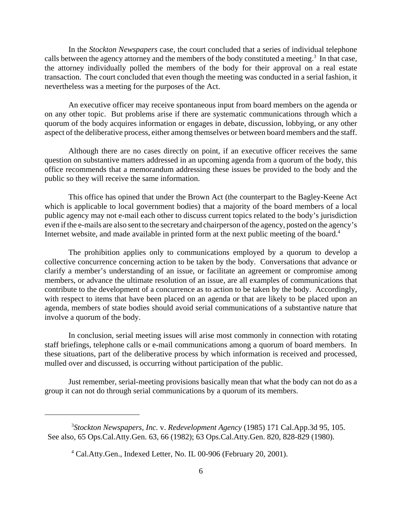In the *Stockton Newspapers* case, the court concluded that a series of individual telephone calls between the agency attorney and the members of the body constituted a meeting.<sup>3</sup> In that case, the attorney individually polled the members of the body for their approval on a real estate transaction. The court concluded that even though the meeting was conducted in a serial fashion, it nevertheless was a meeting for the purposes of the Act.

An executive officer may receive spontaneous input from board members on the agenda or on any other topic. But problems arise if there are systematic communications through which a quorum of the body acquires information or engages in debate, discussion, lobbying, or any other aspect of the deliberative process, either among themselves or between board members and the staff.

Although there are no cases directly on point, if an executive officer receives the same question on substantive matters addressed in an upcoming agenda from a quorum of the body, this office recommends that a memorandum addressing these issues be provided to the body and the public so they will receive the same information.

This office has opined that under the Brown Act (the counterpart to the Bagley-Keene Act which is applicable to local government bodies) that a majority of the board members of a local public agency may not e-mail each other to discuss current topics related to the body's jurisdiction even if the e-mails are also sent to the secretary and chairperson of the agency, posted on the agency's Internet website, and made available in printed form at the next public meeting of the board.<sup>4</sup>

The prohibition applies only to communications employed by a quorum to develop a collective concurrence concerning action to be taken by the body. Conversations that advance or clarify a member's understanding of an issue, or facilitate an agreement or compromise among members, or advance the ultimate resolution of an issue, are all examples of communications that contribute to the development of a concurrence as to action to be taken by the body. Accordingly, with respect to items that have been placed on an agenda or that are likely to be placed upon an agenda, members of state bodies should avoid serial communications of a substantive nature that involve a quorum of the body.

In conclusion, serial meeting issues will arise most commonly in connection with rotating staff briefings, telephone calls or e-mail communications among a quorum of board members. In these situations, part of the deliberative process by which information is received and processed, mulled over and discussed, is occurring without participation of the public.

Just remember, serial-meeting provisions basically mean that what the body can not do as a group it can not do through serial communications by a quorum of its members.

<sup>3</sup> *Stockton Newspapers, Inc.* v. *Redevelopment Agency* (1985) 171 Cal.App.3d 95, 105. See also, 65 Ops.Cal.Atty.Gen. 63, 66 (1982); 63 Ops.Cal.Atty.Gen. 820, 828-829 (1980).

<sup>4</sup> Cal.Atty.Gen., Indexed Letter, No. IL 00-906 (February 20, 2001).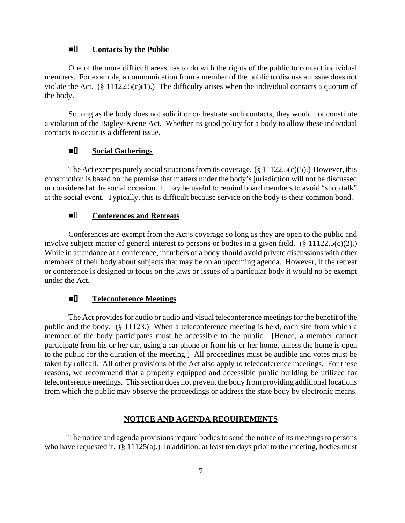# $\blacksquare$  Contacts by the Public

One of the more difficult areas has to do with the rights of the public to contact individual members. For example, a communication from a member of the public to discuss an issue does not violate the Act.  $(\S 11122.5(c)(1))$ . The difficulty arises when the individual contacts a quorum of the body.

So long as the body does not solicit or orchestrate such contacts, they would not constitute a violation of the Bagley-Keene Act. Whether its good policy for a body to allow these individual contacts to occur is a different issue.

# $\blacksquare$  Social Gatherings

The Act exempts purely social situations from its coverage.  $(\S 11122.5(c)(5))$ . However, this construction is based on the premise that matters under the body's jurisdiction will not be discussed or considered at the social occasion. It may be useful to remind board members to avoid "shop talk" at the social event. Typically, this is difficult because service on the body is their common bond.

# $\blacksquare$  Conferences and Retreats

Conferences are exempt from the Act's coverage so long as they are open to the public and involve subject matter of general interest to persons or bodies in a given field. (§ 11122.5(c)(2).) While in attendance at a conference, members of a body should avoid private discussions with other members of their body about subjects that may be on an upcoming agenda. However, if the retreat or conference is designed to focus on the laws or issues of a particular body it would no be exempt under the Act.

# $\blacksquare$  **Teleconference Meetings**

The Act provides for audio or audio and visual teleconference meetings for the benefit of the public and the body. (§ 11123.) When a teleconference meeting is held, each site from which a member of the body participates must be accessible to the public. [Hence, a member cannot participate from his or her car, using a car phone or from his or her home, unless the home is open to the public for the duration of the meeting.] All proceedings must be audible and votes must be taken by rollcall. All other provisions of the Act also apply to teleconference meetings. For these reasons, we recommend that a properly equipped and accessible public building be utilized for teleconference meetings. This section does not prevent the body from providing additional locations from which the public may observe the proceedings or address the state body by electronic means.

# **NOTICE AND AGENDA REQUIREMENTS**

The notice and agenda provisions require bodies to send the notice of its meetings to persons who have requested it. (§ 11125(a).) In addition, at least ten days prior to the meeting, bodies must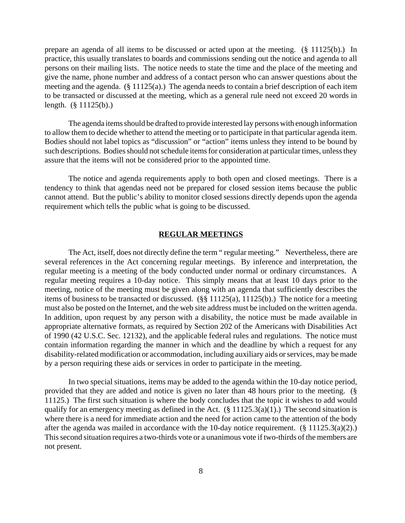prepare an agenda of all items to be discussed or acted upon at the meeting. (§ 11125(b).) In practice, this usually translates to boards and commissions sending out the notice and agenda to all persons on their mailing lists. The notice needs to state the time and the place of the meeting and give the name, phone number and address of a contact person who can answer questions about the meeting and the agenda. (§ 11125(a).) The agenda needs to contain a brief description of each item to be transacted or discussed at the meeting, which as a general rule need not exceed 20 words in length. (§ 11125(b).)

The agenda items should be drafted to provide interested lay persons with enough information to allow them to decide whether to attend the meeting or to participate in that particular agenda item. Bodies should not label topics as "discussion" or "action" items unless they intend to be bound by such descriptions. Bodies should not schedule items for consideration at particular times, unless they assure that the items will not be considered prior to the appointed time.

The notice and agenda requirements apply to both open and closed meetings. There is a tendency to think that agendas need not be prepared for closed session items because the public cannot attend. But the public's ability to monitor closed sessions directly depends upon the agenda requirement which tells the public what is going to be discussed.

# **REGULAR MEETINGS**

The Act, itself, does not directly define the term " regular meeting." Nevertheless, there are several references in the Act concerning regular meetings. By inference and interpretation, the regular meeting is a meeting of the body conducted under normal or ordinary circumstances. A regular meeting requires a 10-day notice. This simply means that at least 10 days prior to the meeting, notice of the meeting must be given along with an agenda that sufficiently describes the items of business to be transacted or discussed. (§§ 11125(a), 11125(b).) The notice for a meeting must also be posted on the Internet, and the web site address must be included on the written agenda. In addition, upon request by any person with a disability, the notice must be made available in appropriate alternative formats, as required by Section 202 of the Americans with Disabilities Act of 1990 (42 U.S.C. Sec. 12132), and the applicable federal rules and regulations. The notice must contain information regarding the manner in which and the deadline by which a request for any disability-related modification or accommodation, including auxiliary aids or services, may be made by a person requiring these aids or services in order to participate in the meeting.

In two special situations, items may be added to the agenda within the 10-day notice period, provided that they are added and notice is given no later than 48 hours prior to the meeting. (§ 11125.) The first such situation is where the body concludes that the topic it wishes to add would qualify for an emergency meeting as defined in the Act.  $(\S 11125.3(a)(1))$ . The second situation is where there is a need for immediate action and the need for action came to the attention of the body after the agenda was mailed in accordance with the 10-day notice requirement. (§ 11125.3(a)(2).) This second situation requires a two-thirds vote or a unanimous vote if two-thirds of the members are not present.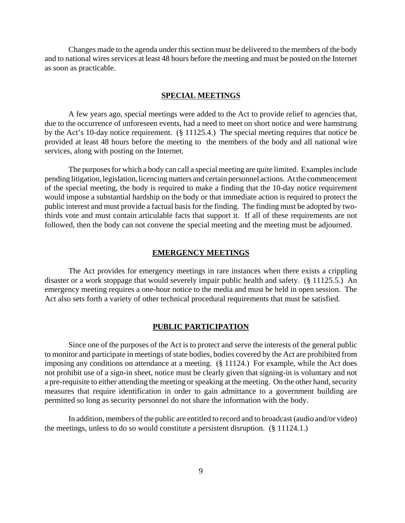Changes made to the agenda under this section must be delivered to the members of the body and to national wires services at least 48 hours before the meeting and must be posted on the Internet as soon as practicable.

## **SPECIAL MEETINGS**

A few years ago, special meetings were added to the Act to provide relief to agencies that, due to the occurrence of unforeseen events, had a need to meet on short notice and were hamstrung by the Act's 10-day notice requirement. (§ 11125.4.) The special meeting requires that notice be provided at least 48 hours before the meeting to the members of the body and all national wire services, along with posting on the Internet.

The purposes for which a body can call a special meeting are quite limited. Examples include pending litigation, legislation, licencing matters and certain personnel actions. At the commencement of the special meeting, the body is required to make a finding that the 10-day notice requirement would impose a substantial hardship on the body or that immediate action is required to protect the public interest and must provide a factual basis for the finding. The finding must be adopted by twothirds vote and must contain articulable facts that support it. If all of these requirements are not followed, then the body can not convene the special meeting and the meeting must be adjourned.

#### **EMERGENCY MEETINGS**

The Act provides for emergency meetings in rare instances when there exists a crippling disaster or a work stoppage that would severely impair public health and safety. (§ 11125.5.) An emergency meeting requires a one-hour notice to the media and must be held in open session. The Act also sets forth a variety of other technical procedural requirements that must be satisfied.

## **PUBLIC PARTICIPATION**

Since one of the purposes of the Act is to protect and serve the interests of the general public to monitor and participate in meetings of state bodies, bodies covered by the Act are prohibited from imposing any conditions on attendance at a meeting. (§ 11124.) For example, while the Act does not prohibit use of a sign-in sheet, notice must be clearly given that signing-in is voluntary and not a pre-requisite to either attending the meeting or speaking at the meeting. On the other hand, security measures that require identification in order to gain admittance to a government building are permitted so long as security personnel do not share the information with the body.

In addition, members of the public are entitled to record and to broadcast (audio and/or video) the meetings, unless to do so would constitute a persistent disruption. (§ 11124.1.)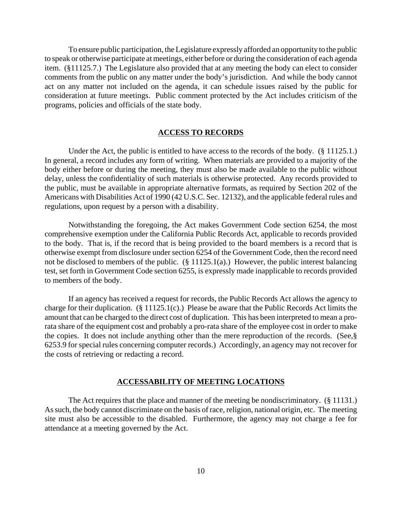To ensure public participation, the Legislature expressly afforded an opportunity to the public to speak or otherwise participate at meetings, either before or during the consideration of each agenda item. (§11125.7.) The Legislature also provided that at any meeting the body can elect to consider comments from the public on any matter under the body's jurisdiction. And while the body cannot act on any matter not included on the agenda, it can schedule issues raised by the public for consideration at future meetings. Public comment protected by the Act includes criticism of the programs, policies and officials of the state body.

#### **ACCESS TO RECORDS**

Under the Act, the public is entitled to have access to the records of the body. (§ 11125.1.) In general, a record includes any form of writing. When materials are provided to a majority of the body either before or during the meeting, they must also be made available to the public without delay, unless the confidentiality of such materials is otherwise protected. Any records provided to the public, must be available in appropriate alternative formats, as required by Section 202 of the Americans with Disabilities Act of 1990 (42 U.S.C. Sec. 12132), and the applicable federal rules and regulations, upon request by a person with a disability.

Notwithstanding the foregoing, the Act makes Government Code section 6254, the most comprehensive exemption under the California Public Records Act, applicable to records provided to the body. That is, if the record that is being provided to the board members is a record that is otherwise exempt from disclosure under section 6254 of the Government Code, then the record need not be disclosed to members of the public. (§ 11125.1(a).) However, the public interest balancing test, set forth in Government Code section 6255, is expressly made inapplicable to records provided to members of the body.

If an agency has received a request for records, the Public Records Act allows the agency to charge for their duplication. (§ 11125.1(c).) Please be aware that the Public Records Act limits the amount that can be charged to the direct cost of duplication. This has been interpreted to mean a prorata share of the equipment cost and probably a pro-rata share of the employee cost in order to make the copies. It does not include anything other than the mere reproduction of the records. (See,§ 6253.9 for special rules concerning computer records.) Accordingly, an agency may not recover for the costs of retrieving or redacting a record.

# **ACCESSABILITY OF MEETING LOCATIONS**

The Act requires that the place and manner of the meeting be nondiscriminatory. (§ 11131.) As such, the body cannot discriminate on the basis of race, religion, national origin, etc. The meeting site must also be accessible to the disabled. Furthermore, the agency may not charge a fee for attendance at a meeting governed by the Act.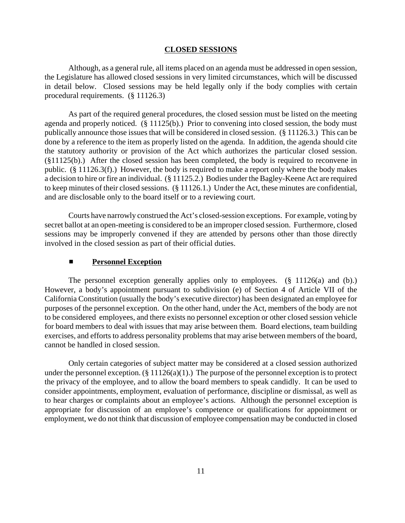#### **CLOSED SESSIONS**

Although, as a general rule, all items placed on an agenda must be addressed in open session, the Legislature has allowed closed sessions in very limited circumstances, which will be discussed in detail below. Closed sessions may be held legally only if the body complies with certain procedural requirements. (§ 11126.3)

As part of the required general procedures, the closed session must be listed on the meeting agenda and properly noticed. (§ 11125(b).) Prior to convening into closed session, the body must publically announce those issues that will be considered in closed session. (§ 11126.3.) This can be done by a reference to the item as properly listed on the agenda. In addition, the agenda should cite the statutory authority or provision of the Act which authorizes the particular closed session. (§11125(b).) After the closed session has been completed, the body is required to reconvene in public. (§ 11126.3(f).) However, the body is required to make a report only where the body makes a decision to hire or fire an individual. (§ 11125.2.) Bodies under the Bagley-Keene Act are required to keep minutes of their closed sessions. (§ 11126.1.) Under the Act, these minutes are confidential, and are disclosable only to the board itself or to a reviewing court.

Courts have narrowly construed the Act's closed-session exceptions. For example, voting by secret ballot at an open-meeting is considered to be an improper closed session. Furthermore, closed sessions may be improperly convened if they are attended by persons other than those directly involved in the closed session as part of their official duties.

## **Personnel Exception**

The personnel exception generally applies only to employees. (§ 11126(a) and (b).) However, a body's appointment pursuant to subdivision (e) of Section 4 of Article VII of the California Constitution (usually the body's executive director) has been designated an employee for purposes of the personnel exception. On the other hand, under the Act, members of the body are not to be considered employees, and there exists no personnel exception or other closed session vehicle for board members to deal with issues that may arise between them. Board elections, team building exercises, and efforts to address personality problems that may arise between members of the board, cannot be handled in closed session.

Only certain categories of subject matter may be considered at a closed session authorized under the personnel exception.  $(\S 11126(a)(1))$ . The purpose of the personnel exception is to protect the privacy of the employee, and to allow the board members to speak candidly. It can be used to consider appointments, employment, evaluation of performance, discipline or dismissal, as well as to hear charges or complaints about an employee's actions. Although the personnel exception is appropriate for discussion of an employee's competence or qualifications for appointment or employment, we do not think that discussion of employee compensation may be conducted in closed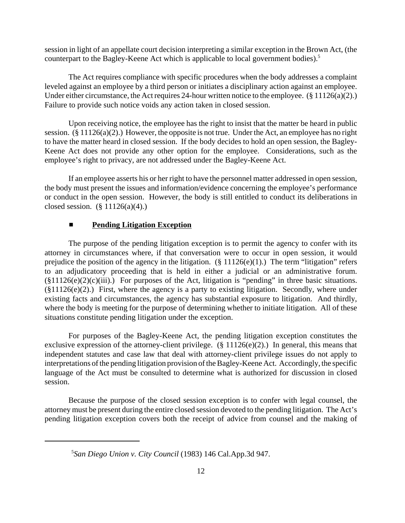session in light of an appellate court decision interpreting a similar exception in the Brown Act, (the counterpart to the Bagley-Keene Act which is applicable to local government bodies).<sup>5</sup>

The Act requires compliance with specific procedures when the body addresses a complaint leveled against an employee by a third person or initiates a disciplinary action against an employee. Under either circumstance, the Act requires 24-hour written notice to the employee. (§ 11126(a)(2).) Failure to provide such notice voids any action taken in closed session.

Upon receiving notice, the employee has the right to insist that the matter be heard in public session.  $(\S 11126(a)(2))$  However, the opposite is not true. Under the Act, an employee has no right to have the matter heard in closed session. If the body decides to hold an open session, the Bagley-Keene Act does not provide any other option for the employee. Considerations, such as the employee's right to privacy, are not addressed under the Bagley-Keene Act.

If an employee asserts his or her right to have the personnel matter addressed in open session, the body must present the issues and information/evidence concerning the employee's performance or conduct in the open session. However, the body is still entitled to conduct its deliberations in closed session.  $(\S 11126(a)(4))$ .

# **EXECUTE:** Pending Litigation Exception

The purpose of the pending litigation exception is to permit the agency to confer with its attorney in circumstances where, if that conversation were to occur in open session, it would prejudice the position of the agency in the litigation.  $(\S 11126(e)(1))$ . The term "litigation" refers to an adjudicatory proceeding that is held in either a judicial or an administrative forum.  $(\S11126(e)(2)(c)(iii))$ . For purposes of the Act, litigation is "pending" in three basic situations.  $(\S11126(e)(2))$  First, where the agency is a party to existing litigation. Secondly, where under existing facts and circumstances, the agency has substantial exposure to litigation. And thirdly, where the body is meeting for the purpose of determining whether to initiate litigation. All of these situations constitute pending litigation under the exception.

For purposes of the Bagley-Keene Act, the pending litigation exception constitutes the exclusive expression of the attorney-client privilege. (§ 11126(e)(2).) In general, this means that independent statutes and case law that deal with attorney-client privilege issues do not apply to interpretations of the pending litigation provision of the Bagley-Keene Act. Accordingly, the specific language of the Act must be consulted to determine what is authorized for discussion in closed session.

Because the purpose of the closed session exception is to confer with legal counsel, the attorney must be present during the entire closed session devoted to the pending litigation. The Act's pending litigation exception covers both the receipt of advice from counsel and the making of

<sup>5</sup> *San Diego Union v. City Council* (1983) 146 Cal.App.3d 947.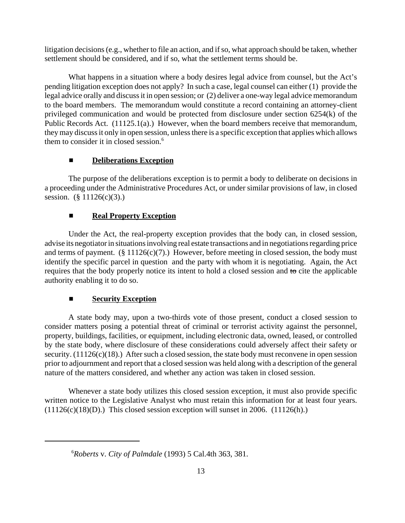litigation decisions (e.g., whether to file an action, and if so, what approach should be taken, whether settlement should be considered, and if so, what the settlement terms should be.

What happens in a situation where a body desires legal advice from counsel, but the Act's pending litigation exception does not apply? In such a case, legal counsel can either (1) provide the legal advice orally and discuss it in open session; or (2) deliver a one-way legal advice memorandum to the board members. The memorandum would constitute a record containing an attorney-client privileged communication and would be protected from disclosure under section 6254(k) of the Public Records Act. (11125.1(a).) However, when the board members receive that memorandum, they may discuss it only in open session, unless there is a specific exception that applies which allows them to consider it in closed session. $<sup>6</sup>$ </sup>

# $\blacksquare$  **Deliberations Exception**

The purpose of the deliberations exception is to permit a body to deliberate on decisions in a proceeding under the Administrative Procedures Act, or under similar provisions of law, in closed session.  $(\S 11126(c)(3))$ .

# **Exception Real Property Exception**

Under the Act, the real-property exception provides that the body can, in closed session, advise its negotiator in situations involving real estate transactions and in negotiations regarding price and terms of payment.  $(\S 11126(c)(7))$ . However, before meeting in closed session, the body must identify the specific parcel in question and the party with whom it is negotiating. Again, the Act requires that the body properly notice its intent to hold a closed session and  $\theta$  cite the applicable authority enabling it to do so.

# **Exception** Security Exception

A state body may, upon a two-thirds vote of those present, conduct a closed session to consider matters posing a potential threat of criminal or terrorist activity against the personnel, property, buildings, facilities, or equipment, including electronic data, owned, leased, or controlled by the state body, where disclosure of these considerations could adversely affect their safety or security.  $(11126(c)(18))$ . After such a closed session, the state body must reconvene in open session prior to adjournment and report that a closed session was held along with a description of the general nature of the matters considered, and whether any action was taken in closed session.

Whenever a state body utilizes this closed session exception, it must also provide specific written notice to the Legislative Analyst who must retain this information for at least four years.  $(11126(c)(18)(D))$ . This closed session exception will sunset in 2006.  $(11126(h))$ .

<sup>6</sup> *Roberts* v. *City of Palmdale* (1993) 5 Cal.4th 363, 381.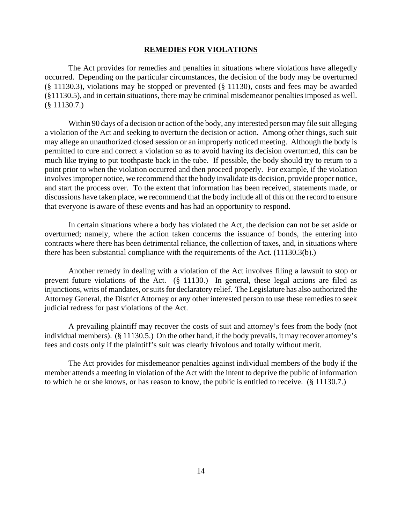#### **REMEDIES FOR VIOLATIONS**

The Act provides for remedies and penalties in situations where violations have allegedly occurred. Depending on the particular circumstances, the decision of the body may be overturned (§ 11130.3), violations may be stopped or prevented (§ 11130), costs and fees may be awarded (§11130.5), and in certain situations, there may be criminal misdemeanor penalties imposed as well. (§ 11130.7.)

Within 90 days of a decision or action of the body, any interested person may file suit alleging a violation of the Act and seeking to overturn the decision or action. Among other things, such suit may allege an unauthorized closed session or an improperly noticed meeting. Although the body is permitted to cure and correct a violation so as to avoid having its decision overturned, this can be much like trying to put toothpaste back in the tube. If possible, the body should try to return to a point prior to when the violation occurred and then proceed properly. For example, if the violation involves improper notice, we recommend that the body invalidate its decision, provide proper notice, and start the process over. To the extent that information has been received, statements made, or discussions have taken place, we recommend that the body include all of this on the record to ensure that everyone is aware of these events and has had an opportunity to respond.

In certain situations where a body has violated the Act, the decision can not be set aside or overturned; namely, where the action taken concerns the issuance of bonds, the entering into contracts where there has been detrimental reliance, the collection of taxes, and, in situations where there has been substantial compliance with the requirements of the Act. (11130.3(b).)

Another remedy in dealing with a violation of the Act involves filing a lawsuit to stop or prevent future violations of the Act. (§ 11130.) In general, these legal actions are filed as injunctions, writs of mandates, or suits for declaratory relief. The Legislature has also authorized the Attorney General, the District Attorney or any other interested person to use these remedies to seek judicial redress for past violations of the Act.

A prevailing plaintiff may recover the costs of suit and attorney's fees from the body (not individual members). (§ 11130.5.) On the other hand, if the body prevails, it may recover attorney's fees and costs only if the plaintiff's suit was clearly frivolous and totally without merit.

The Act provides for misdemeanor penalties against individual members of the body if the member attends a meeting in violation of the Act with the intent to deprive the public of information to which he or she knows, or has reason to know, the public is entitled to receive. (§ 11130.7.)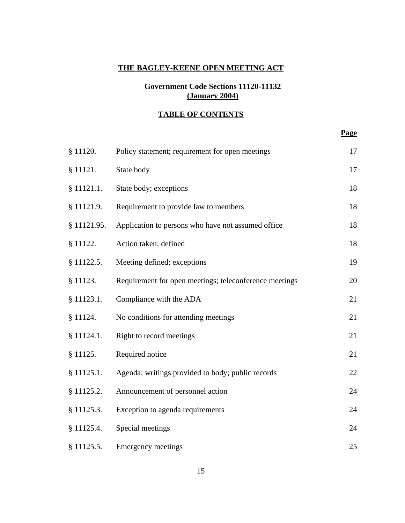# **THE BAGLEY-KEENE OPEN MEETING ACT**

# **Government Code Sections 11120-11132 (January 2004)**

# **TABLE OF CONTENTS**

| \$11120.    | Policy statement; requirement for open meetings        | 17 |
|-------------|--------------------------------------------------------|----|
| § 11121.    | State body                                             | 17 |
| § 11121.1.  | State body; exceptions                                 | 18 |
| § 11121.9.  | Requirement to provide law to members                  | 18 |
| § 11121.95. | Application to persons who have not assumed office     | 18 |
| § 11122.    | Action taken; defined                                  | 18 |
| § 11122.5.  | Meeting defined; exceptions                            | 19 |
| § 11123.    | Requirement for open meetings; teleconference meetings | 20 |
| § 11123.1.  | Compliance with the ADA                                | 21 |
| \$11124.    | No conditions for attending meetings                   | 21 |
| § 11124.1.  | Right to record meetings                               | 21 |
| § 11125.    | Required notice                                        | 21 |
| § 11125.1.  | Agenda; writings provided to body; public records      | 22 |
| § 11125.2.  | Announcement of personnel action                       | 24 |
| § 11125.3.  | Exception to agenda requirements                       | 24 |
| § 11125.4.  | Special meetings                                       | 24 |
| § 11125.5.  | Emergency meetings                                     | 25 |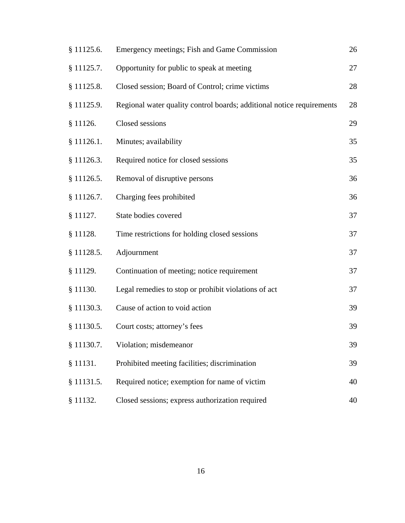| \$11125.6. | Emergency meetings; Fish and Game Commission                          | 26 |
|------------|-----------------------------------------------------------------------|----|
| § 11125.7. | Opportunity for public to speak at meeting                            | 27 |
| \$11125.8. | Closed session; Board of Control; crime victims                       | 28 |
| § 11125.9. | Regional water quality control boards; additional notice requirements | 28 |
| § 11126.   | Closed sessions                                                       | 29 |
| \$11126.1. | Minutes; availability                                                 | 35 |
| \$11126.3. | Required notice for closed sessions                                   | 35 |
| § 11126.5. | Removal of disruptive persons                                         | 36 |
| \$11126.7. | Charging fees prohibited                                              | 36 |
| § 11127.   | State bodies covered                                                  | 37 |
| § 11128.   | Time restrictions for holding closed sessions                         | 37 |
| § 11128.5. | Adjournment                                                           | 37 |
| § 11129.   | Continuation of meeting; notice requirement                           | 37 |
| § 11130.   | Legal remedies to stop or prohibit violations of act                  | 37 |
| § 11130.3. | Cause of action to void action                                        | 39 |
| § 11130.5. | Court costs; attorney's fees                                          | 39 |
| § 11130.7. | Violation; misdemeanor                                                | 39 |
| § 11131.   | Prohibited meeting facilities; discrimination                         | 39 |
| § 11131.5. | Required notice; exemption for name of victim                         | 40 |
| § 11132.   | Closed sessions; express authorization required                       | 40 |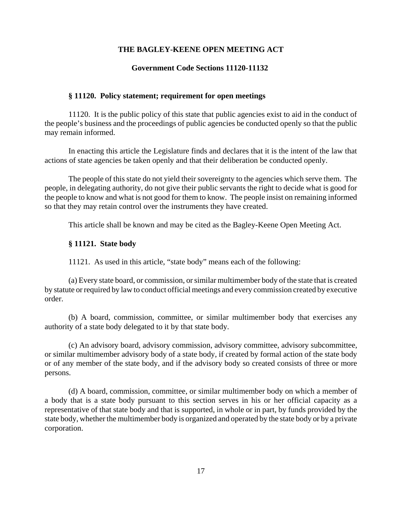# **THE BAGLEY-KEENE OPEN MEETING ACT**

# **Government Code Sections 11120-11132**

# **§ 11120. Policy statement; requirement for open meetings**

11120. It is the public policy of this state that public agencies exist to aid in the conduct of the people's business and the proceedings of public agencies be conducted openly so that the public may remain informed.

In enacting this article the Legislature finds and declares that it is the intent of the law that actions of state agencies be taken openly and that their deliberation be conducted openly.

The people of this state do not yield their sovereignty to the agencies which serve them. The people, in delegating authority, do not give their public servants the right to decide what is good for the people to know and what is not good for them to know. The people insist on remaining informed so that they may retain control over the instruments they have created.

This article shall be known and may be cited as the Bagley-Keene Open Meeting Act.

# **§ 11121. State body**

11121. As used in this article, "state body" means each of the following:

(a) Every state board, or commission, or similar multimember body of the state that is created by statute or required by law to conduct official meetings and every commission created by executive order.

(b) A board, commission, committee, or similar multimember body that exercises any authority of a state body delegated to it by that state body.

(c) An advisory board, advisory commission, advisory committee, advisory subcommittee, or similar multimember advisory body of a state body, if created by formal action of the state body or of any member of the state body, and if the advisory body so created consists of three or more persons.

(d) A board, commission, committee, or similar multimember body on which a member of a body that is a state body pursuant to this section serves in his or her official capacity as a representative of that state body and that is supported, in whole or in part, by funds provided by the state body, whether the multimember body is organized and operated by the state body or by a private corporation.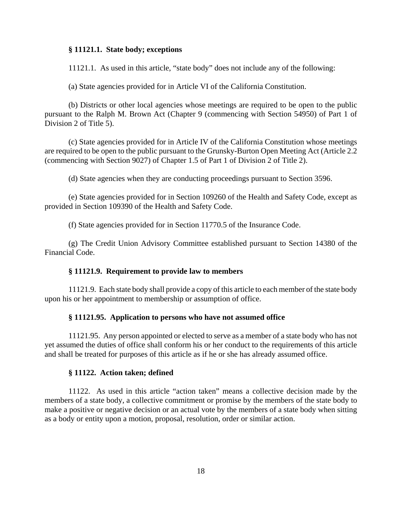# **§ 11121.1. State body; exceptions**

11121.1. As used in this article, "state body" does not include any of the following:

(a) State agencies provided for in Article VI of the California Constitution.

(b) Districts or other local agencies whose meetings are required to be open to the public pursuant to the Ralph M. Brown Act (Chapter 9 (commencing with Section 54950) of Part 1 of Division 2 of Title 5).

(c) State agencies provided for in Article IV of the California Constitution whose meetings are required to be open to the public pursuant to the Grunsky-Burton Open Meeting Act (Article 2.2 (commencing with Section 9027) of Chapter 1.5 of Part 1 of Division 2 of Title 2).

(d) State agencies when they are conducting proceedings pursuant to Section 3596.

(e) State agencies provided for in Section 109260 of the Health and Safety Code, except as provided in Section 109390 of the Health and Safety Code.

(f) State agencies provided for in Section 11770.5 of the Insurance Code.

(g) The Credit Union Advisory Committee established pursuant to Section 14380 of the Financial Code.

#### **§ 11121.9. Requirement to provide law to members**

11121.9. Each state body shall provide a copy of this article to each member of the state body upon his or her appointment to membership or assumption of office.

#### **§ 11121.95. Application to persons who have not assumed office**

11121.95. Any person appointed or elected to serve as a member of a state body who has not yet assumed the duties of office shall conform his or her conduct to the requirements of this article and shall be treated for purposes of this article as if he or she has already assumed office.

#### **§ 11122. Action taken; defined**

11122. As used in this article "action taken" means a collective decision made by the members of a state body, a collective commitment or promise by the members of the state body to make a positive or negative decision or an actual vote by the members of a state body when sitting as a body or entity upon a motion, proposal, resolution, order or similar action.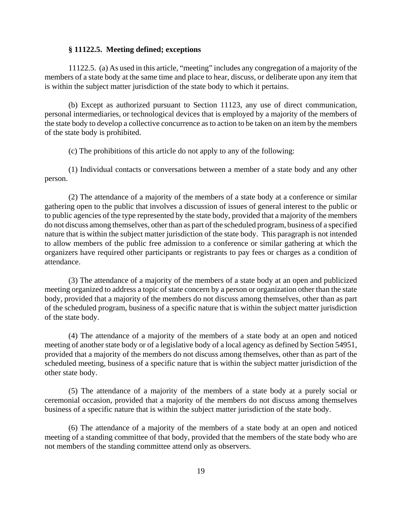# **§ 11122.5. Meeting defined; exceptions**

11122.5. (a) As used in this article, "meeting" includes any congregation of a majority of the members of a state body at the same time and place to hear, discuss, or deliberate upon any item that is within the subject matter jurisdiction of the state body to which it pertains.

(b) Except as authorized pursuant to Section 11123, any use of direct communication, personal intermediaries, or technological devices that is employed by a majority of the members of the state body to develop a collective concurrence as to action to be taken on an item by the members of the state body is prohibited.

(c) The prohibitions of this article do not apply to any of the following:

(1) Individual contacts or conversations between a member of a state body and any other person.

(2) The attendance of a majority of the members of a state body at a conference or similar gathering open to the public that involves a discussion of issues of general interest to the public or to public agencies of the type represented by the state body, provided that a majority of the members do not discuss among themselves, other than as part of the scheduled program, business of a specified nature that is within the subject matter jurisdiction of the state body. This paragraph is not intended to allow members of the public free admission to a conference or similar gathering at which the organizers have required other participants or registrants to pay fees or charges as a condition of attendance.

(3) The attendance of a majority of the members of a state body at an open and publicized meeting organized to address a topic of state concern by a person or organization other than the state body, provided that a majority of the members do not discuss among themselves, other than as part of the scheduled program, business of a specific nature that is within the subject matter jurisdiction of the state body.

(4) The attendance of a majority of the members of a state body at an open and noticed meeting of another state body or of a legislative body of a local agency as defined by Section 54951, provided that a majority of the members do not discuss among themselves, other than as part of the scheduled meeting, business of a specific nature that is within the subject matter jurisdiction of the other state body.

(5) The attendance of a majority of the members of a state body at a purely social or ceremonial occasion, provided that a majority of the members do not discuss among themselves business of a specific nature that is within the subject matter jurisdiction of the state body.

(6) The attendance of a majority of the members of a state body at an open and noticed meeting of a standing committee of that body, provided that the members of the state body who are not members of the standing committee attend only as observers.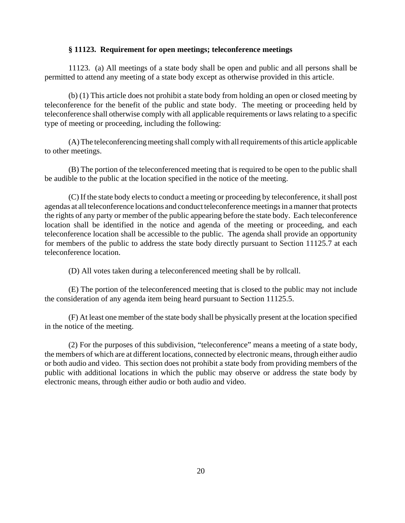# **§ 11123. Requirement for open meetings; teleconference meetings**

11123. (a) All meetings of a state body shall be open and public and all persons shall be permitted to attend any meeting of a state body except as otherwise provided in this article.

(b) (1) This article does not prohibit a state body from holding an open or closed meeting by teleconference for the benefit of the public and state body. The meeting or proceeding held by teleconference shall otherwise comply with all applicable requirements or laws relating to a specific type of meeting or proceeding, including the following:

(A) The teleconferencing meeting shall comply with all requirements of this article applicable to other meetings.

(B) The portion of the teleconferenced meeting that is required to be open to the public shall be audible to the public at the location specified in the notice of the meeting.

(C) If the state body elects to conduct a meeting or proceeding by teleconference, it shall post agendas at all teleconference locations and conduct teleconference meetings in a manner that protects the rights of any party or member of the public appearing before the state body. Each teleconference location shall be identified in the notice and agenda of the meeting or proceeding, and each teleconference location shall be accessible to the public. The agenda shall provide an opportunity for members of the public to address the state body directly pursuant to Section 11125.7 at each teleconference location.

(D) All votes taken during a teleconferenced meeting shall be by rollcall.

(E) The portion of the teleconferenced meeting that is closed to the public may not include the consideration of any agenda item being heard pursuant to Section 11125.5.

(F) At least one member of the state body shall be physically present at the location specified in the notice of the meeting.

(2) For the purposes of this subdivision, "teleconference" means a meeting of a state body, the members of which are at different locations, connected by electronic means, through either audio or both audio and video. This section does not prohibit a state body from providing members of the public with additional locations in which the public may observe or address the state body by electronic means, through either audio or both audio and video.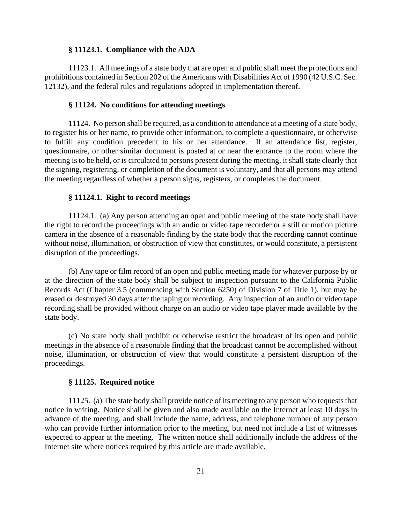# **§ 11123.1. Compliance with the ADA**

11123.1. All meetings of a state body that are open and public shall meet the protections and prohibitions contained in Section 202 of the Americans with Disabilities Act of 1990 (42 U.S.C. Sec. 12132), and the federal rules and regulations adopted in implementation thereof.

# **§ 11124. No conditions for attending meetings**

11124. No person shall be required, as a condition to attendance at a meeting of a state body, to register his or her name, to provide other information, to complete a questionnaire, or otherwise to fulfill any condition precedent to his or her attendance. If an attendance list, register, questionnaire, or other similar document is posted at or near the entrance to the room where the meeting is to be held, or is circulated to persons present during the meeting, it shall state clearly that the signing, registering, or completion of the document is voluntary, and that all persons may attend the meeting regardless of whether a person signs, registers, or completes the document.

# **§ 11124.1. Right to record meetings**

11124.1. (a) Any person attending an open and public meeting of the state body shall have the right to record the proceedings with an audio or video tape recorder or a still or motion picture camera in the absence of a reasonable finding by the state body that the recording cannot continue without noise, illumination, or obstruction of view that constitutes, or would constitute, a persistent disruption of the proceedings.

(b) Any tape or film record of an open and public meeting made for whatever purpose by or at the direction of the state body shall be subject to inspection pursuant to the California Public Records Act (Chapter 3.5 (commencing with Section 6250) of Division 7 of Title 1), but may be erased or destroyed 30 days after the taping or recording. Any inspection of an audio or video tape recording shall be provided without charge on an audio or video tape player made available by the state body.

(c) No state body shall prohibit or otherwise restrict the broadcast of its open and public meetings in the absence of a reasonable finding that the broadcast cannot be accomplished without noise, illumination, or obstruction of view that would constitute a persistent disruption of the proceedings.

# **§ 11125. Required notice**

11125. (a) The state body shall provide notice of its meeting to any person who requests that notice in writing. Notice shall be given and also made available on the Internet at least 10 days in advance of the meeting, and shall include the name, address, and telephone number of any person who can provide further information prior to the meeting, but need not include a list of witnesses expected to appear at the meeting. The written notice shall additionally include the address of the Internet site where notices required by this article are made available.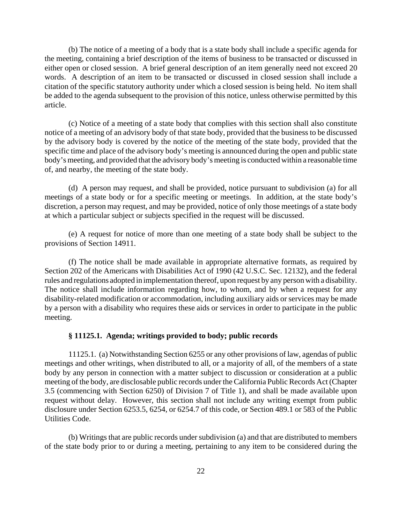(b) The notice of a meeting of a body that is a state body shall include a specific agenda for the meeting, containing a brief description of the items of business to be transacted or discussed in either open or closed session. A brief general description of an item generally need not exceed 20 words. A description of an item to be transacted or discussed in closed session shall include a citation of the specific statutory authority under which a closed session is being held. No item shall be added to the agenda subsequent to the provision of this notice, unless otherwise permitted by this article.

(c) Notice of a meeting of a state body that complies with this section shall also constitute notice of a meeting of an advisory body of that state body, provided that the business to be discussed by the advisory body is covered by the notice of the meeting of the state body, provided that the specific time and place of the advisory body's meeting is announced during the open and public state body's meeting, and provided that the advisory body's meeting is conducted within a reasonable time of, and nearby, the meeting of the state body.

(d) A person may request, and shall be provided, notice pursuant to subdivision (a) for all meetings of a state body or for a specific meeting or meetings. In addition, at the state body's discretion, a person may request, and may be provided, notice of only those meetings of a state body at which a particular subject or subjects specified in the request will be discussed.

(e) A request for notice of more than one meeting of a state body shall be subject to the provisions of Section 14911.

(f) The notice shall be made available in appropriate alternative formats, as required by Section 202 of the Americans with Disabilities Act of 1990 (42 U.S.C. Sec. 12132), and the federal rules and regulations adopted in implementation thereof, upon request by any person with a disability. The notice shall include information regarding how, to whom, and by when a request for any disability-related modification or accommodation, including auxiliary aids or services may be made by a person with a disability who requires these aids or services in order to participate in the public meeting.

# **§ 11125.1. Agenda; writings provided to body; public records**

11125.1. (a) Notwithstanding Section 6255 or any other provisions of law, agendas of public meetings and other writings, when distributed to all, or a majority of all, of the members of a state body by any person in connection with a matter subject to discussion or consideration at a public meeting of the body, are disclosable public records under the California Public Records Act (Chapter 3.5 (commencing with Section 6250) of Division 7 of Title 1), and shall be made available upon request without delay. However, this section shall not include any writing exempt from public disclosure under Section 6253.5, 6254, or 6254.7 of this code, or Section 489.1 or 583 of the Public Utilities Code.

(b) Writings that are public records under subdivision (a) and that are distributed to members of the state body prior to or during a meeting, pertaining to any item to be considered during the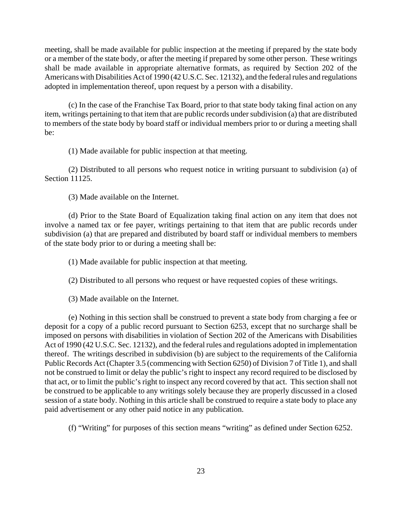meeting, shall be made available for public inspection at the meeting if prepared by the state body or a member of the state body, or after the meeting if prepared by some other person. These writings shall be made available in appropriate alternative formats, as required by Section 202 of the Americans with Disabilities Act of 1990 (42 U.S.C. Sec. 12132), and the federal rules and regulations adopted in implementation thereof, upon request by a person with a disability.

(c) In the case of the Franchise Tax Board, prior to that state body taking final action on any item, writings pertaining to that item that are public records under subdivision (a) that are distributed to members of the state body by board staff or individual members prior to or during a meeting shall be:

(1) Made available for public inspection at that meeting.

(2) Distributed to all persons who request notice in writing pursuant to subdivision (a) of Section 11125.

(3) Made available on the Internet.

(d) Prior to the State Board of Equalization taking final action on any item that does not involve a named tax or fee payer, writings pertaining to that item that are public records under subdivision (a) that are prepared and distributed by board staff or individual members to members of the state body prior to or during a meeting shall be:

(1) Made available for public inspection at that meeting.

(2) Distributed to all persons who request or have requested copies of these writings.

(3) Made available on the Internet.

(e) Nothing in this section shall be construed to prevent a state body from charging a fee or deposit for a copy of a public record pursuant to Section 6253, except that no surcharge shall be imposed on persons with disabilities in violation of Section 202 of the Americans with Disabilities Act of 1990 (42 U.S.C. Sec. 12132), and the federal rules and regulations adopted in implementation thereof. The writings described in subdivision (b) are subject to the requirements of the California Public Records Act (Chapter 3.5 (commencing with Section 6250) of Division 7 of Title 1), and shall not be construed to limit or delay the public's right to inspect any record required to be disclosed by that act, or to limit the public's right to inspect any record covered by that act. This section shall not be construed to be applicable to any writings solely because they are properly discussed in a closed session of a state body. Nothing in this article shall be construed to require a state body to place any paid advertisement or any other paid notice in any publication.

(f) "Writing" for purposes of this section means "writing" as defined under Section 6252.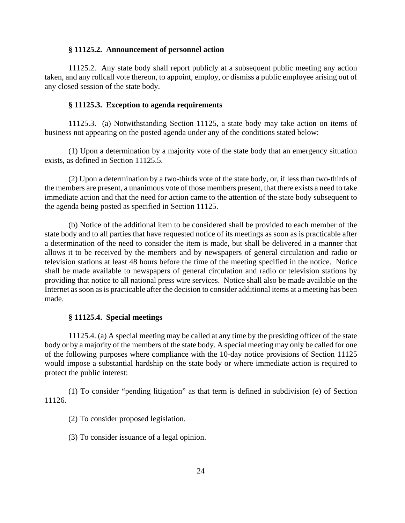# **§ 11125.2. Announcement of personnel action**

11125.2. Any state body shall report publicly at a subsequent public meeting any action taken, and any rollcall vote thereon, to appoint, employ, or dismiss a public employee arising out of any closed session of the state body.

# **§ 11125.3. Exception to agenda requirements**

11125.3. (a) Notwithstanding Section 11125, a state body may take action on items of business not appearing on the posted agenda under any of the conditions stated below:

(1) Upon a determination by a majority vote of the state body that an emergency situation exists, as defined in Section 11125.5.

(2) Upon a determination by a two-thirds vote of the state body, or, if less than two-thirds of the members are present, a unanimous vote of those members present, that there exists a need to take immediate action and that the need for action came to the attention of the state body subsequent to the agenda being posted as specified in Section 11125.

(b) Notice of the additional item to be considered shall be provided to each member of the state body and to all parties that have requested notice of its meetings as soon as is practicable after a determination of the need to consider the item is made, but shall be delivered in a manner that allows it to be received by the members and by newspapers of general circulation and radio or television stations at least 48 hours before the time of the meeting specified in the notice. Notice shall be made available to newspapers of general circulation and radio or television stations by providing that notice to all national press wire services. Notice shall also be made available on the Internet as soon as is practicable after the decision to consider additional items at a meeting has been made.

# **§ 11125.4. Special meetings**

11125.4. (a) A special meeting may be called at any time by the presiding officer of the state body or by a majority of the members of the state body. A special meeting may only be called for one of the following purposes where compliance with the 10-day notice provisions of Section 11125 would impose a substantial hardship on the state body or where immediate action is required to protect the public interest:

(1) To consider "pending litigation" as that term is defined in subdivision (e) of Section 11126.

(2) To consider proposed legislation.

(3) To consider issuance of a legal opinion.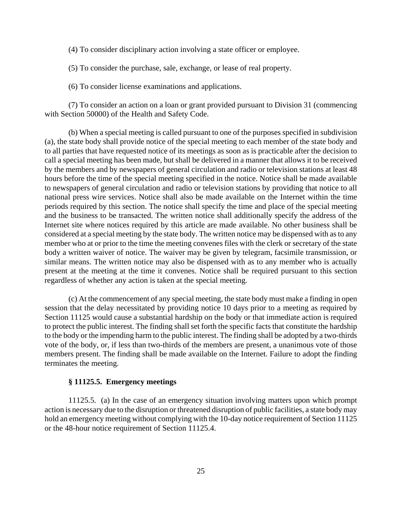(4) To consider disciplinary action involving a state officer or employee.

(5) To consider the purchase, sale, exchange, or lease of real property.

(6) To consider license examinations and applications.

(7) To consider an action on a loan or grant provided pursuant to Division 31 (commencing with Section 50000) of the Health and Safety Code.

(b) When a special meeting is called pursuant to one of the purposes specified in subdivision (a), the state body shall provide notice of the special meeting to each member of the state body and to all parties that have requested notice of its meetings as soon as is practicable after the decision to call a special meeting has been made, but shall be delivered in a manner that allows it to be received by the members and by newspapers of general circulation and radio or television stations at least 48 hours before the time of the special meeting specified in the notice. Notice shall be made available to newspapers of general circulation and radio or television stations by providing that notice to all national press wire services. Notice shall also be made available on the Internet within the time periods required by this section. The notice shall specify the time and place of the special meeting and the business to be transacted. The written notice shall additionally specify the address of the Internet site where notices required by this article are made available. No other business shall be considered at a special meeting by the state body. The written notice may be dispensed with as to any member who at or prior to the time the meeting convenes files with the clerk or secretary of the state body a written waiver of notice. The waiver may be given by telegram, facsimile transmission, or similar means. The written notice may also be dispensed with as to any member who is actually present at the meeting at the time it convenes. Notice shall be required pursuant to this section regardless of whether any action is taken at the special meeting.

(c) At the commencement of any special meeting, the state body must make a finding in open session that the delay necessitated by providing notice 10 days prior to a meeting as required by Section 11125 would cause a substantial hardship on the body or that immediate action is required to protect the public interest. The finding shall set forth the specific facts that constitute the hardship to the body or the impending harm to the public interest. The finding shall be adopted by a two-thirds vote of the body, or, if less than two-thirds of the members are present, a unanimous vote of those members present. The finding shall be made available on the Internet. Failure to adopt the finding terminates the meeting.

# **§ 11125.5. Emergency meetings**

11125.5. (a) In the case of an emergency situation involving matters upon which prompt action is necessary due to the disruption or threatened disruption of public facilities, a state body may hold an emergency meeting without complying with the 10-day notice requirement of Section 11125 or the 48-hour notice requirement of Section 11125.4.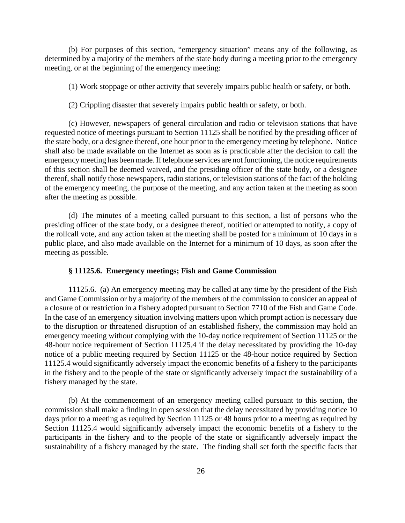(b) For purposes of this section, "emergency situation" means any of the following, as determined by a majority of the members of the state body during a meeting prior to the emergency meeting, or at the beginning of the emergency meeting:

(1) Work stoppage or other activity that severely impairs public health or safety, or both.

(2) Crippling disaster that severely impairs public health or safety, or both.

(c) However, newspapers of general circulation and radio or television stations that have requested notice of meetings pursuant to Section 11125 shall be notified by the presiding officer of the state body, or a designee thereof, one hour prior to the emergency meeting by telephone. Notice shall also be made available on the Internet as soon as is practicable after the decision to call the emergency meeting has been made. If telephone services are not functioning, the notice requirements of this section shall be deemed waived, and the presiding officer of the state body, or a designee thereof, shall notify those newspapers, radio stations, or television stations of the fact of the holding of the emergency meeting, the purpose of the meeting, and any action taken at the meeting as soon after the meeting as possible.

(d) The minutes of a meeting called pursuant to this section, a list of persons who the presiding officer of the state body, or a designee thereof, notified or attempted to notify, a copy of the rollcall vote, and any action taken at the meeting shall be posted for a minimum of 10 days in a public place, and also made available on the Internet for a minimum of 10 days, as soon after the meeting as possible.

# **§ 11125.6. Emergency meetings; Fish and Game Commission**

11125.6. (a) An emergency meeting may be called at any time by the president of the Fish and Game Commission or by a majority of the members of the commission to consider an appeal of a closure of or restriction in a fishery adopted pursuant to Section 7710 of the Fish and Game Code. In the case of an emergency situation involving matters upon which prompt action is necessary due to the disruption or threatened disruption of an established fishery, the commission may hold an emergency meeting without complying with the 10-day notice requirement of Section 11125 or the 48-hour notice requirement of Section 11125.4 if the delay necessitated by providing the 10-day notice of a public meeting required by Section 11125 or the 48-hour notice required by Section 11125.4 would significantly adversely impact the economic benefits of a fishery to the participants in the fishery and to the people of the state or significantly adversely impact the sustainability of a fishery managed by the state.

(b) At the commencement of an emergency meeting called pursuant to this section, the commission shall make a finding in open session that the delay necessitated by providing notice 10 days prior to a meeting as required by Section 11125 or 48 hours prior to a meeting as required by Section 11125.4 would significantly adversely impact the economic benefits of a fishery to the participants in the fishery and to the people of the state or significantly adversely impact the sustainability of a fishery managed by the state. The finding shall set forth the specific facts that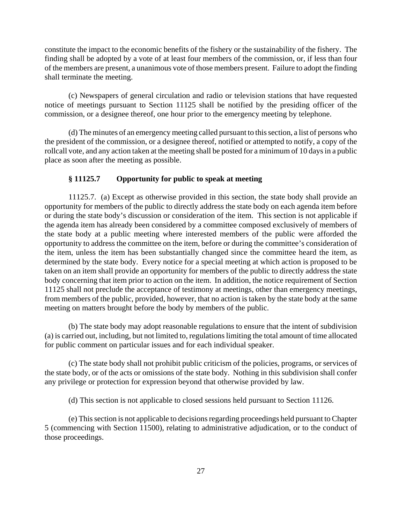constitute the impact to the economic benefits of the fishery or the sustainability of the fishery. The finding shall be adopted by a vote of at least four members of the commission, or, if less than four of the members are present, a unanimous vote of those members present. Failure to adopt the finding shall terminate the meeting.

(c) Newspapers of general circulation and radio or television stations that have requested notice of meetings pursuant to Section 11125 shall be notified by the presiding officer of the commission, or a designee thereof, one hour prior to the emergency meeting by telephone.

(d) The minutes of an emergency meeting called pursuant to this section, a list of persons who the president of the commission, or a designee thereof, notified or attempted to notify, a copy of the rollcall vote, and any action taken at the meeting shall be posted for a minimum of 10 days in a public place as soon after the meeting as possible.

# **§ 11125.7 Opportunity for public to speak at meeting**

11125.7. (a) Except as otherwise provided in this section, the state body shall provide an opportunity for members of the public to directly address the state body on each agenda item before or during the state body's discussion or consideration of the item. This section is not applicable if the agenda item has already been considered by a committee composed exclusively of members of the state body at a public meeting where interested members of the public were afforded the opportunity to address the committee on the item, before or during the committee's consideration of the item, unless the item has been substantially changed since the committee heard the item, as determined by the state body. Every notice for a special meeting at which action is proposed to be taken on an item shall provide an opportunity for members of the public to directly address the state body concerning that item prior to action on the item. In addition, the notice requirement of Section 11125 shall not preclude the acceptance of testimony at meetings, other than emergency meetings, from members of the public, provided, however, that no action is taken by the state body at the same meeting on matters brought before the body by members of the public.

(b) The state body may adopt reasonable regulations to ensure that the intent of subdivision (a) is carried out, including, but not limited to, regulations limiting the total amount of time allocated for public comment on particular issues and for each individual speaker.

(c) The state body shall not prohibit public criticism of the policies, programs, or services of the state body, or of the acts or omissions of the state body. Nothing in this subdivision shall confer any privilege or protection for expression beyond that otherwise provided by law.

(d) This section is not applicable to closed sessions held pursuant to Section 11126.

(e) This section is not applicable to decisions regarding proceedings held pursuant to Chapter 5 (commencing with Section 11500), relating to administrative adjudication, or to the conduct of those proceedings.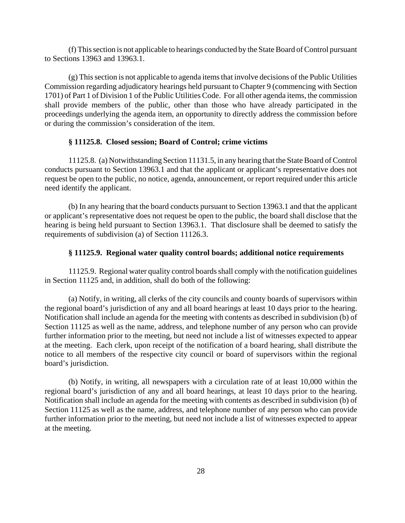(f) This section is not applicable to hearings conducted by the State Board of Control pursuant to Sections 13963 and 13963.1.

(g) This section is not applicable to agenda items that involve decisions of the Public Utilities Commission regarding adjudicatory hearings held pursuant to Chapter 9 (commencing with Section 1701) of Part 1 of Division 1 of the Public Utilities Code. For all other agenda items, the commission shall provide members of the public, other than those who have already participated in the proceedings underlying the agenda item, an opportunity to directly address the commission before or during the commission's consideration of the item.

# **§ 11125.8. Closed session; Board of Control; crime victims**

11125.8. (a) Notwithstanding Section 11131.5, in any hearing that the State Board of Control conducts pursuant to Section 13963.1 and that the applicant or applicant's representative does not request be open to the public, no notice, agenda, announcement, or report required under this article need identify the applicant.

(b) In any hearing that the board conducts pursuant to Section 13963.1 and that the applicant or applicant's representative does not request be open to the public, the board shall disclose that the hearing is being held pursuant to Section 13963.1. That disclosure shall be deemed to satisfy the requirements of subdivision (a) of Section 11126.3.

# **§ 11125.9. Regional water quality control boards; additional notice requirements**

11125.9. Regional water quality control boards shall comply with the notification guidelines in Section 11125 and, in addition, shall do both of the following:

(a) Notify, in writing, all clerks of the city councils and county boards of supervisors within the regional board's jurisdiction of any and all board hearings at least 10 days prior to the hearing. Notification shall include an agenda for the meeting with contents as described in subdivision (b) of Section 11125 as well as the name, address, and telephone number of any person who can provide further information prior to the meeting, but need not include a list of witnesses expected to appear at the meeting. Each clerk, upon receipt of the notification of a board hearing, shall distribute the notice to all members of the respective city council or board of supervisors within the regional board's jurisdiction.

(b) Notify, in writing, all newspapers with a circulation rate of at least 10,000 within the regional board's jurisdiction of any and all board hearings, at least 10 days prior to the hearing. Notification shall include an agenda for the meeting with contents as described in subdivision (b) of Section 11125 as well as the name, address, and telephone number of any person who can provide further information prior to the meeting, but need not include a list of witnesses expected to appear at the meeting.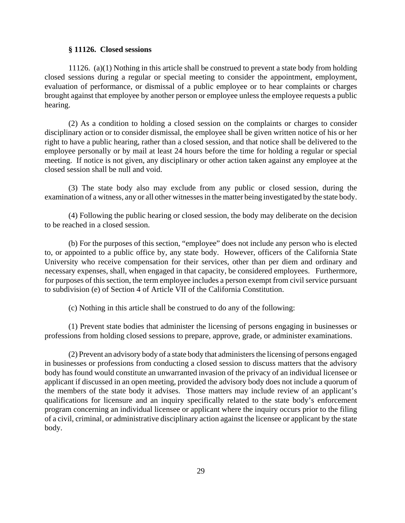# **§ 11126. Closed sessions**

11126. (a)(1) Nothing in this article shall be construed to prevent a state body from holding closed sessions during a regular or special meeting to consider the appointment, employment, evaluation of performance, or dismissal of a public employee or to hear complaints or charges brought against that employee by another person or employee unless the employee requests a public hearing.

(2) As a condition to holding a closed session on the complaints or charges to consider disciplinary action or to consider dismissal, the employee shall be given written notice of his or her right to have a public hearing, rather than a closed session, and that notice shall be delivered to the employee personally or by mail at least 24 hours before the time for holding a regular or special meeting. If notice is not given, any disciplinary or other action taken against any employee at the closed session shall be null and void.

(3) The state body also may exclude from any public or closed session, during the examination of a witness, any or all other witnesses in the matter being investigated by the state body.

(4) Following the public hearing or closed session, the body may deliberate on the decision to be reached in a closed session.

(b) For the purposes of this section, "employee" does not include any person who is elected to, or appointed to a public office by, any state body. However, officers of the California State University who receive compensation for their services, other than per diem and ordinary and necessary expenses, shall, when engaged in that capacity, be considered employees. Furthermore, for purposes of this section, the term employee includes a person exempt from civil service pursuant to subdivision (e) of Section 4 of Article VII of the California Constitution.

(c) Nothing in this article shall be construed to do any of the following:

(1) Prevent state bodies that administer the licensing of persons engaging in businesses or professions from holding closed sessions to prepare, approve, grade, or administer examinations.

(2) Prevent an advisory body of a state body that administers the licensing of persons engaged in businesses or professions from conducting a closed session to discuss matters that the advisory body has found would constitute an unwarranted invasion of the privacy of an individual licensee or applicant if discussed in an open meeting, provided the advisory body does not include a quorum of the members of the state body it advises. Those matters may include review of an applicant's qualifications for licensure and an inquiry specifically related to the state body's enforcement program concerning an individual licensee or applicant where the inquiry occurs prior to the filing of a civil, criminal, or administrative disciplinary action against the licensee or applicant by the state body.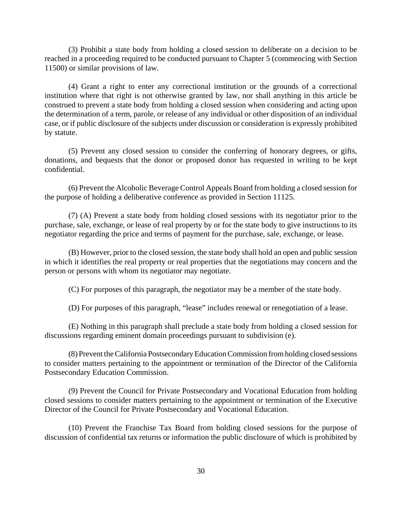(3) Prohibit a state body from holding a closed session to deliberate on a decision to be reached in a proceeding required to be conducted pursuant to Chapter 5 (commencing with Section 11500) or similar provisions of law.

(4) Grant a right to enter any correctional institution or the grounds of a correctional institution where that right is not otherwise granted by law, nor shall anything in this article be construed to prevent a state body from holding a closed session when considering and acting upon the determination of a term, parole, or release of any individual or other disposition of an individual case, or if public disclosure of the subjects under discussion or consideration is expressly prohibited by statute.

(5) Prevent any closed session to consider the conferring of honorary degrees, or gifts, donations, and bequests that the donor or proposed donor has requested in writing to be kept confidential.

(6) Prevent the Alcoholic Beverage Control Appeals Board from holding a closed session for the purpose of holding a deliberative conference as provided in Section 11125.

(7) (A) Prevent a state body from holding closed sessions with its negotiator prior to the purchase, sale, exchange, or lease of real property by or for the state body to give instructions to its negotiator regarding the price and terms of payment for the purchase, sale, exchange, or lease.

(B) However, prior to the closed session, the state body shall hold an open and public session in which it identifies the real property or real properties that the negotiations may concern and the person or persons with whom its negotiator may negotiate.

(C) For purposes of this paragraph, the negotiator may be a member of the state body.

(D) For purposes of this paragraph, "lease" includes renewal or renegotiation of a lease.

(E) Nothing in this paragraph shall preclude a state body from holding a closed session for discussions regarding eminent domain proceedings pursuant to subdivision (e).

(8) Prevent the California Postsecondary Education Commission from holding closed sessions to consider matters pertaining to the appointment or termination of the Director of the California Postsecondary Education Commission.

(9) Prevent the Council for Private Postsecondary and Vocational Education from holding closed sessions to consider matters pertaining to the appointment or termination of the Executive Director of the Council for Private Postsecondary and Vocational Education.

(10) Prevent the Franchise Tax Board from holding closed sessions for the purpose of discussion of confidential tax returns or information the public disclosure of which is prohibited by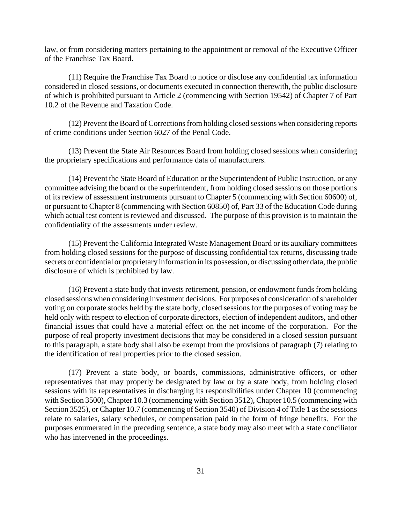law, or from considering matters pertaining to the appointment or removal of the Executive Officer of the Franchise Tax Board.

(11) Require the Franchise Tax Board to notice or disclose any confidential tax information considered in closed sessions, or documents executed in connection therewith, the public disclosure of which is prohibited pursuant to Article 2 (commencing with Section 19542) of Chapter 7 of Part 10.2 of the Revenue and Taxation Code.

(12) Prevent the Board of Corrections fromholding closed sessions when considering reports of crime conditions under Section 6027 of the Penal Code.

(13) Prevent the State Air Resources Board from holding closed sessions when considering the proprietary specifications and performance data of manufacturers.

(14) Prevent the State Board of Education or the Superintendent of Public Instruction, or any committee advising the board or the superintendent, from holding closed sessions on those portions of its review of assessment instruments pursuant to Chapter 5 (commencing with Section 60600) of, or pursuant to Chapter 8 (commencing with Section 60850) of, Part 33 of the Education Code during which actual test content is reviewed and discussed. The purpose of this provision is to maintain the confidentiality of the assessments under review.

(15) Prevent the California Integrated Waste Management Board or its auxiliary committees from holding closed sessions for the purpose of discussing confidential tax returns, discussing trade secrets or confidential or proprietary information in its possession, or discussing other data, the public disclosure of which is prohibited by law.

(16) Prevent a state body that invests retirement, pension, or endowment funds from holding closed sessions when considering investment decisions. For purposes of consideration of shareholder voting on corporate stocks held by the state body, closed sessions for the purposes of voting may be held only with respect to election of corporate directors, election of independent auditors, and other financial issues that could have a material effect on the net income of the corporation. For the purpose of real property investment decisions that may be considered in a closed session pursuant to this paragraph, a state body shall also be exempt from the provisions of paragraph (7) relating to the identification of real properties prior to the closed session.

(17) Prevent a state body, or boards, commissions, administrative officers, or other representatives that may properly be designated by law or by a state body, from holding closed sessions with its representatives in discharging its responsibilities under Chapter 10 (commencing with Section 3500), Chapter 10.3 (commencing with Section 3512), Chapter 10.5 (commencing with Section 3525), or Chapter 10.7 (commencing of Section 3540) of Division 4 of Title 1 as the sessions relate to salaries, salary schedules, or compensation paid in the form of fringe benefits. For the purposes enumerated in the preceding sentence, a state body may also meet with a state conciliator who has intervened in the proceedings.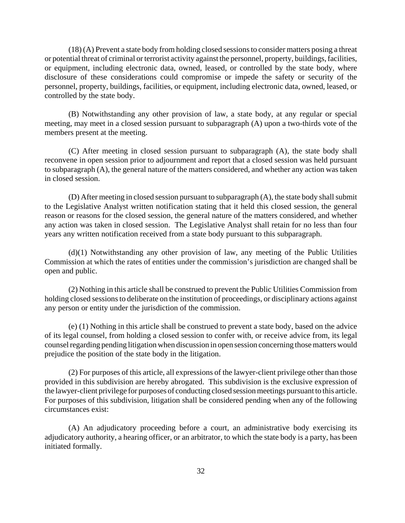(18) (A) Prevent a state body from holding closed sessions to consider matters posing a threat or potential threat of criminal or terrorist activity against the personnel, property, buildings, facilities, or equipment, including electronic data, owned, leased, or controlled by the state body, where disclosure of these considerations could compromise or impede the safety or security of the personnel, property, buildings, facilities, or equipment, including electronic data, owned, leased, or controlled by the state body.

(B) Notwithstanding any other provision of law, a state body, at any regular or special meeting, may meet in a closed session pursuant to subparagraph (A) upon a two-thirds vote of the members present at the meeting.

(C) After meeting in closed session pursuant to subparagraph (A), the state body shall reconvene in open session prior to adjournment and report that a closed session was held pursuant to subparagraph (A), the general nature of the matters considered, and whether any action was taken in closed session.

(D) After meeting in closed session pursuant to subparagraph (A), the state body shall submit to the Legislative Analyst written notification stating that it held this closed session, the general reason or reasons for the closed session, the general nature of the matters considered, and whether any action was taken in closed session. The Legislative Analyst shall retain for no less than four years any written notification received from a state body pursuant to this subparagraph.

(d)(1) Notwithstanding any other provision of law, any meeting of the Public Utilities Commission at which the rates of entities under the commission's jurisdiction are changed shall be open and public.

(2) Nothing in this article shall be construed to prevent the Public Utilities Commission from holding closed sessions to deliberate on the institution of proceedings, or disciplinary actions against any person or entity under the jurisdiction of the commission.

(e) (1) Nothing in this article shall be construed to prevent a state body, based on the advice of its legal counsel, from holding a closed session to confer with, or receive advice from, its legal counsel regarding pending litigation when discussion in open session concerning those matters would prejudice the position of the state body in the litigation.

(2) For purposes of this article, all expressions of the lawyer-client privilege other than those provided in this subdivision are hereby abrogated. This subdivision is the exclusive expression of the lawyer-client privilege for purposes of conducting closed session meetings pursuant to this article. For purposes of this subdivision, litigation shall be considered pending when any of the following circumstances exist:

(A) An adjudicatory proceeding before a court, an administrative body exercising its adjudicatory authority, a hearing officer, or an arbitrator, to which the state body is a party, has been initiated formally.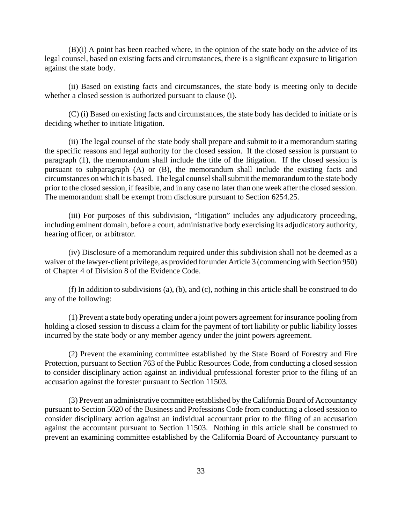(B)(i) A point has been reached where, in the opinion of the state body on the advice of its legal counsel, based on existing facts and circumstances, there is a significant exposure to litigation against the state body.

(ii) Based on existing facts and circumstances, the state body is meeting only to decide whether a closed session is authorized pursuant to clause (i).

(C) (i) Based on existing facts and circumstances, the state body has decided to initiate or is deciding whether to initiate litigation.

(ii) The legal counsel of the state body shall prepare and submit to it a memorandum stating the specific reasons and legal authority for the closed session. If the closed session is pursuant to paragraph (1), the memorandum shall include the title of the litigation. If the closed session is pursuant to subparagraph (A) or (B), the memorandum shall include the existing facts and circumstances on which it is based. The legal counsel shall submit the memorandum to the state body prior to the closed session, if feasible, and in any case no later than one week after the closed session. The memorandum shall be exempt from disclosure pursuant to Section 6254.25.

(iii) For purposes of this subdivision, "litigation" includes any adjudicatory proceeding, including eminent domain, before a court, administrative body exercising its adjudicatory authority, hearing officer, or arbitrator.

(iv) Disclosure of a memorandum required under this subdivision shall not be deemed as a waiver of the lawyer-client privilege, as provided for under Article 3 (commencing with Section 950) of Chapter 4 of Division 8 of the Evidence Code.

(f) In addition to subdivisions (a), (b), and (c), nothing in this article shall be construed to do any of the following:

(1) Prevent a state body operating under a joint powers agreement for insurance pooling from holding a closed session to discuss a claim for the payment of tort liability or public liability losses incurred by the state body or any member agency under the joint powers agreement.

(2) Prevent the examining committee established by the State Board of Forestry and Fire Protection, pursuant to Section 763 of the Public Resources Code, from conducting a closed session to consider disciplinary action against an individual professional forester prior to the filing of an accusation against the forester pursuant to Section 11503.

(3) Prevent an administrative committee established by the California Board of Accountancy pursuant to Section 5020 of the Business and Professions Code from conducting a closed session to consider disciplinary action against an individual accountant prior to the filing of an accusation against the accountant pursuant to Section 11503. Nothing in this article shall be construed to prevent an examining committee established by the California Board of Accountancy pursuant to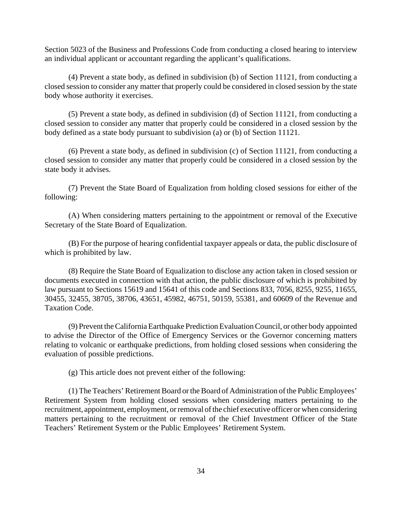Section 5023 of the Business and Professions Code from conducting a closed hearing to interview an individual applicant or accountant regarding the applicant's qualifications.

(4) Prevent a state body, as defined in subdivision (b) of Section 11121, from conducting a closed session to consider any matter that properly could be considered in closed session by the state body whose authority it exercises.

(5) Prevent a state body, as defined in subdivision (d) of Section 11121, from conducting a closed session to consider any matter that properly could be considered in a closed session by the body defined as a state body pursuant to subdivision (a) or (b) of Section 11121.

(6) Prevent a state body, as defined in subdivision (c) of Section 11121, from conducting a closed session to consider any matter that properly could be considered in a closed session by the state body it advises.

(7) Prevent the State Board of Equalization from holding closed sessions for either of the following:

(A) When considering matters pertaining to the appointment or removal of the Executive Secretary of the State Board of Equalization.

(B) For the purpose of hearing confidential taxpayer appeals or data, the public disclosure of which is prohibited by law.

(8) Require the State Board of Equalization to disclose any action taken in closed session or documents executed in connection with that action, the public disclosure of which is prohibited by law pursuant to Sections 15619 and 15641 of this code and Sections 833, 7056, 8255, 9255, 11655, 30455, 32455, 38705, 38706, 43651, 45982, 46751, 50159, 55381, and 60609 of the Revenue and Taxation Code.

(9) Prevent the California Earthquake Prediction Evaluation Council, or other body appointed to advise the Director of the Office of Emergency Services or the Governor concerning matters relating to volcanic or earthquake predictions, from holding closed sessions when considering the evaluation of possible predictions.

(g) This article does not prevent either of the following:

(1) The Teachers' Retirement Board or the Board of Administration of the Public Employees' Retirement System from holding closed sessions when considering matters pertaining to the recruitment, appointment, employment, or removal of the chief executive officer or when considering matters pertaining to the recruitment or removal of the Chief Investment Officer of the State Teachers' Retirement System or the Public Employees' Retirement System.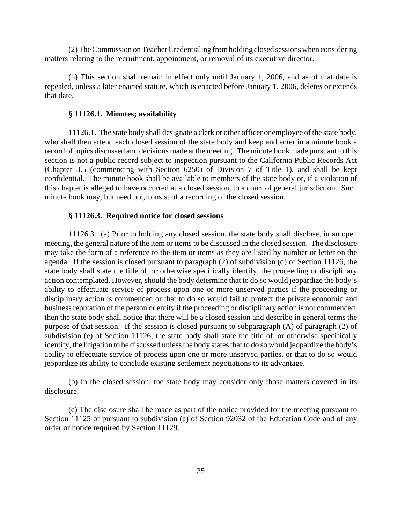(2) The Commission on Teacher Credentialing from holding closed sessions when considering matters relating to the recruitment, appointment, or removal of its executive director.

(h) This section shall remain in effect only until January 1, 2006, and as of that date is repealed, unless a later enacted statute, which is enacted before January 1, 2006, deletes or extends that date.

# **§ 11126.1. Minutes; availability**

11126.1. The state body shall designate a clerk or other officer or employee of the state body, who shall then attend each closed session of the state body and keep and enter in a minute book a record of topics discussed and decisions made at the meeting. The minute book made pursuant to this section is not a public record subject to inspection pursuant to the California Public Records Act (Chapter 3.5 (commencing with Section 6250) of Division 7 of Title 1), and shall be kept confidential. The minute book shall be available to members of the state body or, if a violation of this chapter is alleged to have occurred at a closed session, to a court of general jurisdiction. Such minute book may, but need not, consist of a recording of the closed session.

# **§ 11126.3. Required notice for closed sessions**

11126.3. (a) Prior to holding any closed session, the state body shall disclose, in an open meeting, the general nature of the item or items to be discussed in the closed session. The disclosure may take the form of a reference to the item or items as they are listed by number or letter on the agenda. If the session is closed pursuant to paragraph (2) of subdivision (d) of Section 11126, the state body shall state the title of, or otherwise specifically identify, the proceeding or disciplinary action contemplated. However, should the body determine that to do so would jeopardize the body's ability to effectuate service of process upon one or more unserved parties if the proceeding or disciplinary action is commenced or that to do so would fail to protect the private economic and business reputation of the person or entity if the proceeding or disciplinary action is not commenced, then the state body shall notice that there will be a closed session and describe in general terms the purpose of that session. If the session is closed pursuant to subparagraph (A) of paragraph (2) of subdivision (e) of Section 11126, the state body shall state the title of, or otherwise specifically identify, the litigation to be discussed unless the body states that to do so would jeopardize the body's ability to effectuate service of process upon one or more unserved parties, or that to do so would jeopardize its ability to conclude existing settlement negotiations to its advantage.

(b) In the closed session, the state body may consider only those matters covered in its disclosure.

(c) The disclosure shall be made as part of the notice provided for the meeting pursuant to Section 11125 or pursuant to subdivision (a) of Section 92032 of the Education Code and of any order or notice required by Section 11129.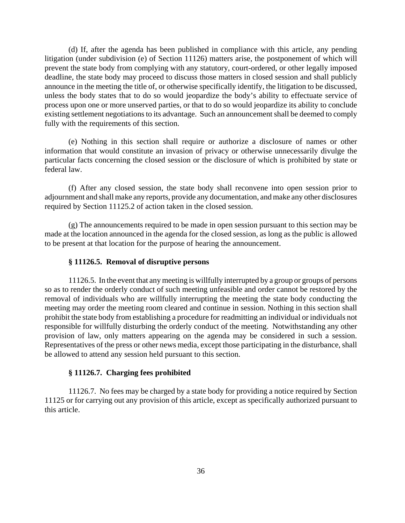(d) If, after the agenda has been published in compliance with this article, any pending litigation (under subdivision (e) of Section 11126) matters arise, the postponement of which will prevent the state body from complying with any statutory, court-ordered, or other legally imposed deadline, the state body may proceed to discuss those matters in closed session and shall publicly announce in the meeting the title of, or otherwise specifically identify, the litigation to be discussed, unless the body states that to do so would jeopardize the body's ability to effectuate service of process upon one or more unserved parties, or that to do so would jeopardize its ability to conclude existing settlement negotiations to its advantage. Such an announcement shall be deemed to comply fully with the requirements of this section.

(e) Nothing in this section shall require or authorize a disclosure of names or other information that would constitute an invasion of privacy or otherwise unnecessarily divulge the particular facts concerning the closed session or the disclosure of which is prohibited by state or federal law.

(f) After any closed session, the state body shall reconvene into open session prior to adjournment and shall make any reports, provide any documentation, and make any other disclosures required by Section 11125.2 of action taken in the closed session.

(g) The announcements required to be made in open session pursuant to this section may be made at the location announced in the agenda for the closed session, as long as the public is allowed to be present at that location for the purpose of hearing the announcement.

## **§ 11126.5. Removal of disruptive persons**

11126.5. In the event that any meeting is willfully interrupted by a group or groups of persons so as to render the orderly conduct of such meeting unfeasible and order cannot be restored by the removal of individuals who are willfully interrupting the meeting the state body conducting the meeting may order the meeting room cleared and continue in session. Nothing in this section shall prohibit the state body from establishing a procedure for readmitting an individual or individuals not responsible for willfully disturbing the orderly conduct of the meeting. Notwithstanding any other provision of law, only matters appearing on the agenda may be considered in such a session. Representatives of the press or other news media, except those participating in the disturbance, shall be allowed to attend any session held pursuant to this section.

# **§ 11126.7. Charging fees prohibited**

11126.7. No fees may be charged by a state body for providing a notice required by Section 11125 or for carrying out any provision of this article, except as specifically authorized pursuant to this article.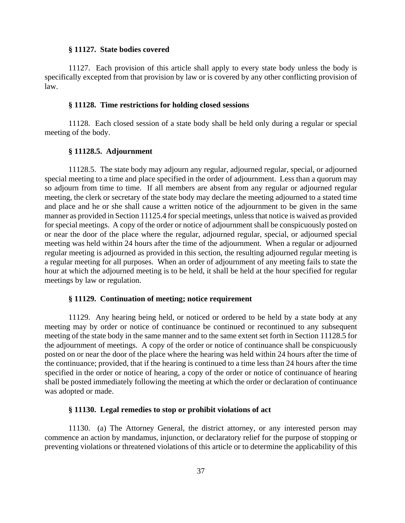# **§ 11127. State bodies covered**

11127. Each provision of this article shall apply to every state body unless the body is specifically excepted from that provision by law or is covered by any other conflicting provision of law.

# **§ 11128. Time restrictions for holding closed sessions**

11128. Each closed session of a state body shall be held only during a regular or special meeting of the body.

# **§ 11128.5. Adjournment**

11128.5. The state body may adjourn any regular, adjourned regular, special, or adjourned special meeting to a time and place specified in the order of adjournment. Less than a quorum may so adjourn from time to time. If all members are absent from any regular or adjourned regular meeting, the clerk or secretary of the state body may declare the meeting adjourned to a stated time and place and he or she shall cause a written notice of the adjournment to be given in the same manner as provided in Section 11125.4 for special meetings, unless that notice is waived as provided for special meetings. A copy of the order or notice of adjournment shall be conspicuously posted on or near the door of the place where the regular, adjourned regular, special, or adjourned special meeting was held within 24 hours after the time of the adjournment. When a regular or adjourned regular meeting is adjourned as provided in this section, the resulting adjourned regular meeting is a regular meeting for all purposes. When an order of adjournment of any meeting fails to state the hour at which the adjourned meeting is to be held, it shall be held at the hour specified for regular meetings by law or regulation.

# **§ 11129. Continuation of meeting; notice requirement**

11129. Any hearing being held, or noticed or ordered to be held by a state body at any meeting may by order or notice of continuance be continued or recontinued to any subsequent meeting of the state body in the same manner and to the same extent set forth in Section 11128.5 for the adjournment of meetings. A copy of the order or notice of continuance shall be conspicuously posted on or near the door of the place where the hearing was held within 24 hours after the time of the continuance; provided, that if the hearing is continued to a time less than 24 hours after the time specified in the order or notice of hearing, a copy of the order or notice of continuance of hearing shall be posted immediately following the meeting at which the order or declaration of continuance was adopted or made.

# **§ 11130. Legal remedies to stop or prohibit violations of act**

11130. (a) The Attorney General, the district attorney, or any interested person may commence an action by mandamus, injunction, or declaratory relief for the purpose of stopping or preventing violations or threatened violations of this article or to determine the applicability of this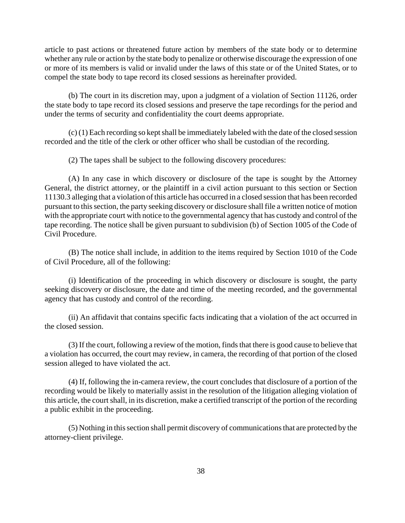article to past actions or threatened future action by members of the state body or to determine whether any rule or action by the state body to penalize or otherwise discourage the expression of one or more of its members is valid or invalid under the laws of this state or of the United States, or to compel the state body to tape record its closed sessions as hereinafter provided.

(b) The court in its discretion may, upon a judgment of a violation of Section 11126, order the state body to tape record its closed sessions and preserve the tape recordings for the period and under the terms of security and confidentiality the court deems appropriate.

(c) (1) Each recording so kept shall be immediately labeled with the date of the closed session recorded and the title of the clerk or other officer who shall be custodian of the recording.

(2) The tapes shall be subject to the following discovery procedures:

(A) In any case in which discovery or disclosure of the tape is sought by the Attorney General, the district attorney, or the plaintiff in a civil action pursuant to this section or Section 11130.3 alleging that a violation of this article has occurred in a closed session that has been recorded pursuant to this section, the party seeking discovery or disclosure shall file a written notice of motion with the appropriate court with notice to the governmental agency that has custody and control of the tape recording. The notice shall be given pursuant to subdivision (b) of Section 1005 of the Code of Civil Procedure.

(B) The notice shall include, in addition to the items required by Section 1010 of the Code of Civil Procedure, all of the following:

(i) Identification of the proceeding in which discovery or disclosure is sought, the party seeking discovery or disclosure, the date and time of the meeting recorded, and the governmental agency that has custody and control of the recording.

(ii) An affidavit that contains specific facts indicating that a violation of the act occurred in the closed session.

(3) If the court, following a review of the motion, finds that there is good cause to believe that a violation has occurred, the court may review, in camera, the recording of that portion of the closed session alleged to have violated the act.

(4) If, following the in-camera review, the court concludes that disclosure of a portion of the recording would be likely to materially assist in the resolution of the litigation alleging violation of this article, the court shall, in its discretion, make a certified transcript of the portion of the recording a public exhibit in the proceeding.

(5) Nothing in this section shall permit discovery of communications that are protected by the attorney-client privilege.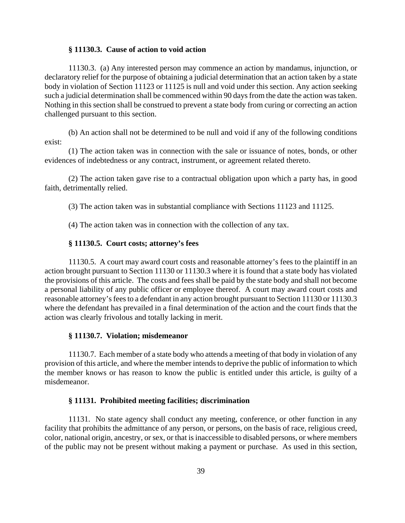# **§ 11130.3. Cause of action to void action**

11130.3. (a) Any interested person may commence an action by mandamus, injunction, or declaratory relief for the purpose of obtaining a judicial determination that an action taken by a state body in violation of Section 11123 or 11125 is null and void under this section. Any action seeking such a judicial determination shall be commenced within 90 days from the date the action was taken. Nothing in this section shall be construed to prevent a state body from curing or correcting an action challenged pursuant to this section.

(b) An action shall not be determined to be null and void if any of the following conditions exist:

(1) The action taken was in connection with the sale or issuance of notes, bonds, or other evidences of indebtedness or any contract, instrument, or agreement related thereto.

(2) The action taken gave rise to a contractual obligation upon which a party has, in good faith, detrimentally relied.

(3) The action taken was in substantial compliance with Sections 11123 and 11125.

(4) The action taken was in connection with the collection of any tax.

# **§ 11130.5. Court costs; attorney's fees**

11130.5. A court may award court costs and reasonable attorney's fees to the plaintiff in an action brought pursuant to Section 11130 or 11130.3 where it is found that a state body has violated the provisions of this article. The costs and fees shall be paid by the state body and shall not become a personal liability of any public officer or employee thereof. A court may award court costs and reasonable attorney's fees to a defendant in any action brought pursuant to Section 11130 or 11130.3 where the defendant has prevailed in a final determination of the action and the court finds that the action was clearly frivolous and totally lacking in merit.

## **§ 11130.7. Violation; misdemeanor**

11130.7. Each member of a state body who attends a meeting of that body in violation of any provision of this article, and where the member intends to deprive the public of information to which the member knows or has reason to know the public is entitled under this article, is guilty of a misdemeanor.

## **§ 11131. Prohibited meeting facilities; discrimination**

11131. No state agency shall conduct any meeting, conference, or other function in any facility that prohibits the admittance of any person, or persons, on the basis of race, religious creed, color, national origin, ancestry, or sex, or that is inaccessible to disabled persons, or where members of the public may not be present without making a payment or purchase. As used in this section,